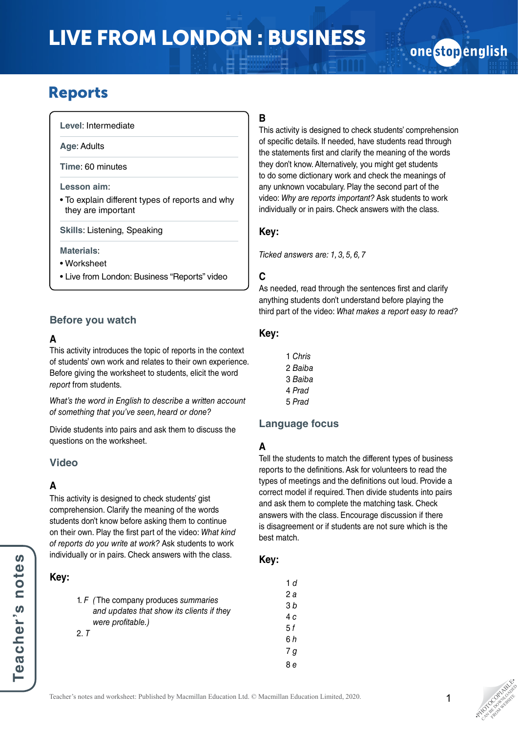# LIVE FROM LONDON : BUSINESS

## onestopenglish

### Reports

**Level**: Intermediate

**Age**: Adults

**Time**: 60 minutes

#### **Lesson aim**:

• To explain different types of reports and why they are important

**Skills**: Listening, Speaking

#### **Materials**:

• Worksheet

• Live from London: Business "Reports" video

#### **Before you watch**

#### **A**

This activity introduces the topic of reports in the context of students' own work and relates to their own experience. Before giving the worksheet to students, elicit the word *report* from students.

*What's the word in English to describe a written account of something that you've seen, heard or done?*

Divide students into pairs and ask them to discuss the questions on the worksheet.

#### **Video**

#### **A**

This activity is designed to check students' gist comprehension. Clarify the meaning of the words students don't know before asking them to continue on their own. Play the first part of the video: *What kind of reports do you write at work?* Ask students to work individually or in pairs. Check answers with the class.

#### **Key:**

| 1. $F$ (The company produces summaries    |
|-------------------------------------------|
| and updates that show its clients if they |
| were profitable.)                         |
| 2 T                                       |

#### **B**

This activity is designed to check students' comprehension of specific details. If needed, have students read through the statements first and clarify the meaning of the words they don't know. Alternatively, you might get students to do some dictionary work and check the meanings of any unknown vocabulary. Play the second part of the video: *Why are reports important?* Ask students to work individually or in pairs. Check answers with the class.

#### **Key:**

*Ticked answers are: 1, 3, 5, 6, 7*

#### **C**

As needed, read through the sentences first and clarify anything students don't understand before playing the third part of the video: *What makes a report easy to read?*

#### **Key:**

1 *Chris* 2 *Baiba* 3 *Baiba* 4 *Prad* 5 *Prad*

#### **Language focus**

#### **A**

Tell the students to match the different types of business reports to the definitions. Ask for volunteers to read the types of meetings and the definitions out loud. Provide a correct model if required. Then divide students into pairs and ask them to complete the matching task. Check answers with the class. Encourage discussion if there is disagreement or if students are not sure which is the best match.

#### **Key:**

1 *d* 2 *a* 3 *b* 4 *c* 5 *f* 6 *h* 7 *g*

8 *e*

**PHOTOGRAPHICATE** CAN BE DOWNLOAD FROM WEBSITE